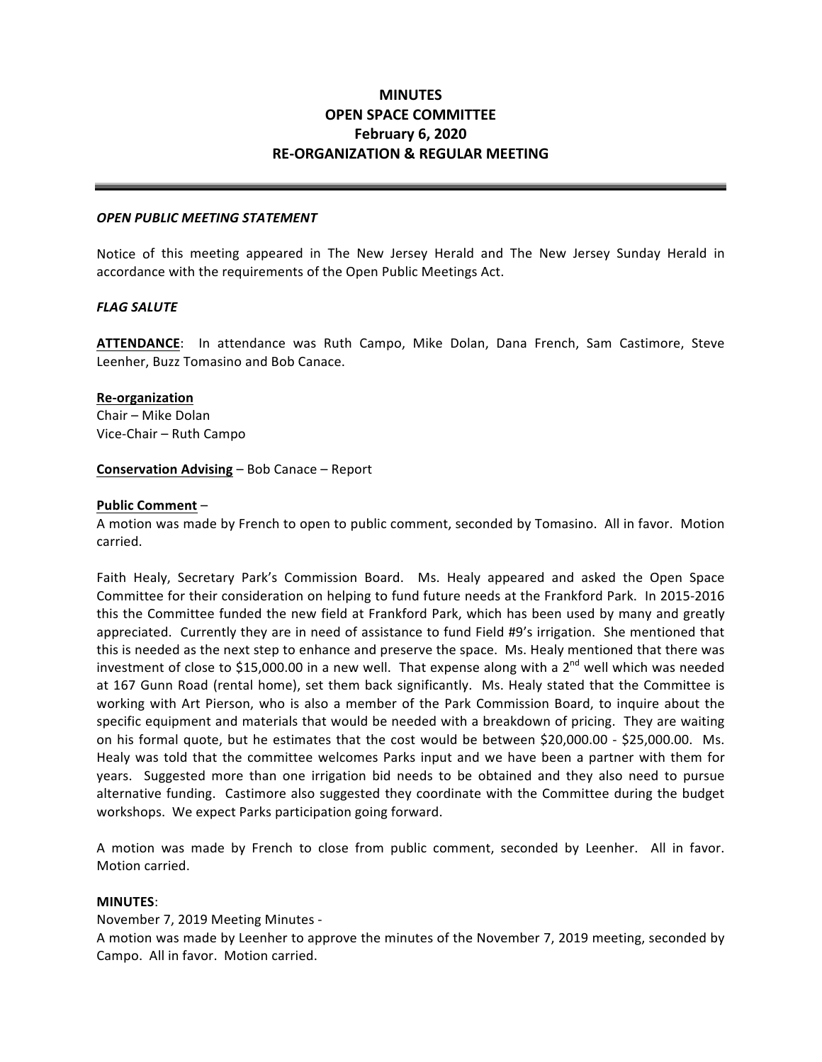# **OPEN SPACE COMMITTEE February 6, 2020 RE-ORGANIZATION & REGULAR MEETING MINUTES**

#### *OPEN PUBLIC MEETING STATEMENT*

 Notice of this meeting appeared in The New Jersey Herald and The New Jersey Sunday Herald in accordance with the requirements of the Open Public Meetings Act.

#### *FLAG SALUTE*

ATTENDANCE: In attendance was Ruth Campo, Mike Dolan, Dana French, Sam Castimore, Steve Leenher, Buzz Tomasino and Bob Canace.

#### **Re-organization**

Chair – Mike Dolan Vice-Chair – Ruth Campo

## **Conservation Advising** – Bob Canace – Report

### **Public Comment** –

A motion was made by French to open to public comment, seconded by Tomasino. All in favor. Motion carried.

Faith Healy, Secretary Park's Commission Board. Ms. Healy appeared and asked the Open Space Committee for their consideration on helping to fund future needs at the Frankford Park. In 2015-2016 this the Committee funded the new field at Frankford Park, which has been used by many and greatly appreciated. Currently they are in need of assistance to fund Field #9's irrigation. She mentioned that this is needed as the next step to enhance and preserve the space. Ms. Healy mentioned that there was investment of close to \$15,000.00 in a new well. That expense along with a 2<sup>nd</sup> well which was needed at 167 Gunn Road (rental home), set them back significantly. Ms. Healy stated that the Committee is working with Art Pierson, who is also a member of the Park Commission Board, to inquire about the specific equipment and materials that would be needed with a breakdown of pricing. They are waiting on his formal quote, but he estimates that the cost would be between \$20,000.00 - \$25,000.00. Ms. Healy was told that the committee welcomes Parks input and we have been a partner with them for years. Suggested more than one irrigation bid needs to be obtained and they also need to pursue alternative funding. Castimore also suggested they coordinate with the Committee during the budget workshops. We expect Parks participation going forward.

A motion was made by French to close from public comment, seconded by Leenher. All in favor. Motion carried.

# **MINUTES**:

 November 7, 2019 Meeting Minutes -

A motion was made by Leenher to approve the minutes of the November 7, 2019 meeting, seconded by Campo. All in favor. Motion carried.